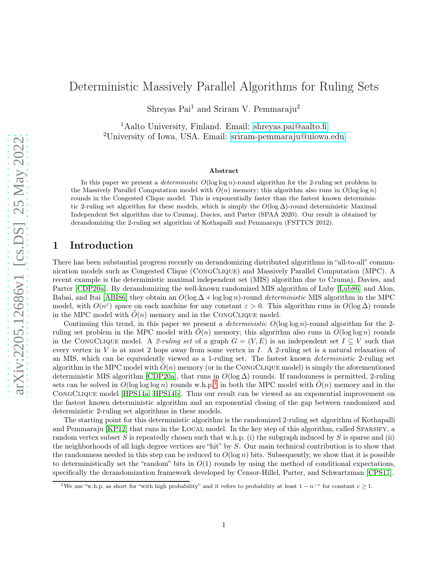# Deterministic Massively Parallel Algorithms for Ruling Sets

Shreyas Pai<sup>1</sup> and Sriram V. Pemmaraju<sup>2</sup>

<sup>1</sup>Aalto University, Finland. Email: [shreyas.pai@aalto.fi](mailto:shreyas.pai@aalto.fi) <sup>2</sup>University of Iowa, USA. Email: [sriram-pemmaraju@uiowa.edu](mailto:sriram-pemmaraju@uiowa.edu)

#### Abstract

In this paper we present a *deterministic*  $O(\log \log n)$ -round algorithm for the 2-ruling set problem in the Massively Parallel Computation model with  $\tilde{O}(n)$  memory; this algorithm also runs in  $O(\log \log n)$ rounds in the Congested Clique model. This is exponentially faster than the fastest known deterministic 2-ruling set algorithm for these models, which is simply the  $O(\log \Delta)$ -round deterministic Maximal Independent Set algorithm due to Czumaj, Davies, and Parter (SPAA 2020). Our result is obtained by derandomizing the 2-ruling set algorithm of Kothapalli and Pemmaraju (FSTTCS 2012).

### 1 Introduction

There has been substantial progress recently on derandomizing distributed algorithms in "all-to-all" communication models such as Congested Clique (CongClique) and Massively Parallel Computation (MPC). A recent example is the deterministic maximal independent set (MIS) algorithm due to Czumaj, Davies, and Parter [\[CDP20a\]](#page-5-0). By derandomizing the well-known randomized MIS algorithm of Luby [\[Lub86\]](#page-6-0) and Alon, Babai, and Itai [\[ABI86\]](#page-5-1) they obtain an O(log ∆ + log log n)-round *deterministic* MIS algorithm in the MPC model, with  $O(n^{\epsilon})$  space on each machine for any constant  $\varepsilon > 0$ . This algorithm runs in  $O(\log \Delta)$  rounds in the MPC model with  $O(n)$  memory and in the CONGCLIQUE model.

Continuing this trend, in this paper we present a *deterministic* O(log log n)-round algorithm for the 2 ruling set problem in the MPC model with  $O(n)$  memory; this algorithm also runs in  $O(\log \log n)$  rounds in the CONGCLIQUE model. A 2-ruling set of a graph  $G = (V, E)$  is an independent set  $I \subseteq V$  such that every vertex in  $V$  is at most 2 hops away from some vertex in  $I$ . A 2-ruling set is a natural relaxation of an MIS, which can be equivalently viewed as a 1-ruling set. The fastest known *deterministic* 2-ruling set algorithm in the MPC model with  $\tilde{O}(n)$  memory (or in the CONGCLIQUE model) is simply the aforementioned deterministic MIS algorithm [\[CDP20a\]](#page-5-0), that runs in  $O(\log \Delta)$  rounds. If randomness is permitted, 2-ruling sets can be solved in  $O(\log \log n)$  rounds w.h.p.<sup>[1](#page-0-0)</sup> in both the MPC model with  $O(n)$  memory and in the CongClique model [\[HPS14a,](#page-6-1) [HPS14b\]](#page-6-2). Thus our result can be viewed as an exponential improvement on the fastest known deterministic algorithm and an exponential closing of the gap between randomized and deterministic 2-ruling set algorithms in these models.

The starting point for this deterministic algorithm is the randomized 2-ruling set algorithm of Kothapalli and Pemmaraju [\[KP12\]](#page-6-3) that runs in the LOCAL model. In the key step of this algorithm, called SPARSIFY, a random vertex subset S is repeatedly chosen such that w.h.p. (i) the subgraph induced by S is sparse and (ii) the neighborhoods of all high degree vertices are "hit" by S. Our main technical contribution is to show that the randomness needed in this step can be reduced to  $O(\log n)$  bits. Subsequently, we show that it is possible to deterministically set the "random" bits in  $O(1)$  rounds by using the method of conditional expectations, specifically the derandomization framework developed by Censor-Hillel, Parter, and Schwartzman [\[CPS17\]](#page-5-2).

<span id="page-0-0"></span><sup>&</sup>lt;sup>1</sup>We use "w.h.p. as short for "with high probability" and it refers to probability at least  $1 - n^{-c}$  for constant  $c \ge 1$ .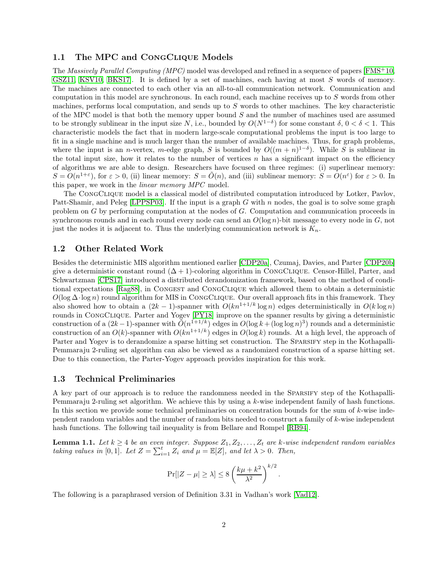### 1.1 The MPC and CONGCLIQUE Models

The *Massively Parallel Computing (MPC)* model was developed and refined in a sequence of papers [\[FMS](#page-5-3)<sup>+</sup>10, [GSZ11,](#page-6-4) [KSV10,](#page-6-5) [BKS17\]](#page-5-4). It is defined by a set of machines, each having at most S words of memory. The machines are connected to each other via an all-to-all communication network. Communication and computation in this model are synchronous. In each round, each machine receives up to S words from other machines, performs local computation, and sends up to  $S$  words to other machines. The key characteristic of the MPC model is that both the memory upper bound S and the number of machines used are assumed to be strongly sublinear in the input size N, i.e., bounded by  $O(N^{1-\delta})$  for some constant  $\delta, 0 < \delta < 1$ . This characteristic models the fact that in modern large-scale computational problems the input is too large to fit in a single machine and is much larger than the number of available machines. Thus, for graph problems, where the input is an *n*-vertex, *m*-edge graph, S is bounded by  $O((m+n)^{1-\delta})$ . While S is sublinear in the total input size, how it relates to the number of vertices  $n$  has a significant impact on the efficiency of algorithms we are able to design. Researchers have focused on three regimes: (i) superlinear memory:  $S = O(n^{1+\varepsilon})$ , for  $\varepsilon > 0$ , (ii) linear memory:  $S = \tilde{O}(n)$ , and (iii) sublinear memory:  $S = O(n^{\varepsilon})$  for  $\varepsilon > 0$ . In this paper, we work in the *linear memory MPC* model.

The CongClique model is a classical model of distributed computation introduced by Lotker, Pavlov, Patt-Shamir, and Peleg [\[LPPSP03\]](#page-6-6). If the input is a graph G with n nodes, the goal is to solve some graph problem on G by performing computation at the nodes of G. Computation and communication proceeds in synchronous rounds and in each round every node can send an  $O(\log n)$ -bit message to every node in G, not just the nodes it is adjacent to. Thus the underlying communication network is  $K_n$ .

#### 1.2 Other Related Work

Besides the deterministic MIS algorithm mentioned earlier [\[CDP20a\]](#page-5-0), Czumaj, Davies, and Parter [\[CDP20b\]](#page-5-5) give a deterministic constant round  $(\Delta + 1)$ -coloring algorithm in CONGCLIQUE. Censor-Hillel, Parter, and Schwartzman [\[CPS17\]](#page-5-2) introduced a distributed derandomization framework, based on the method of conditional expectations [\[Rag88\]](#page-6-7), in Congest and CongClique which allowed them to obtain a deterministic  $O(\log \Delta \cdot \log n)$  round algorithm for MIS in CONGCLIQUE. Our overall approach fits in this framework. They also showed how to obtain a  $(2k-1)$ -spanner with  $O(kn^{1+1/k} \log n)$  edges deterministically in  $O(k \log n)$ rounds in CongClique. Parter and Yogev [\[PY18\]](#page-6-8) improve on the spanner results by giving a deterministic construction of a  $(2k-1)$ -spanner with  $\tilde{O}(n^{1+1/k})$  edges in  $O(\log k + (\log \log n)^3)$  rounds and a deterministic construction of an  $O(k)$ -spanner with  $O(kn^{1+1/k})$  edges in  $O(\log k)$  rounds. At a high level, the approach of Parter and Yogev is to derandomize a sparse hitting set construction. The SPARSIFY step in the Kothapalli-Pemmaraju 2-ruling set algorithm can also be viewed as a randomized construction of a sparse hitting set. Due to this connection, the Parter-Yogev approach provides inspiration for this work.

### 1.3 Technical Preliminaries

A key part of our approach is to reduce the randomness needed in the Sparsify step of the Kothapalli-Pemmaraju 2-ruling set algorithm. We achieve this by using a k-wise independent family of hash functions. In this section we provide some technical preliminaries on concentration bounds for the sum of  $k$ -wise independent random variables and the number of random bits needed to construct a family of k-wise independent hash functions. The following tail inequality is from Bellare and Rompel [\[RB94\]](#page-6-9).

<span id="page-1-0"></span>**Lemma 1.1.** Let  $k \geq 4$  be an even integer. Suppose  $Z_1, Z_2, \ldots, Z_t$  are k-wise independent random variables *taking values in* [0,1]*. Let*  $Z = \sum_{i=1}^{t} Z_i$  *and*  $\mu = \mathbb{E}[Z]$ *, and let*  $\lambda > 0$ *. Then,* 

$$
\Pr[|Z - \mu| \ge \lambda] \le 8\left(\frac{k\mu + k^2}{\lambda^2}\right)^{k/2}.
$$

The following is a paraphrased version of Definition 3.31 in Vadhan's work [\[Vad12\]](#page-6-10).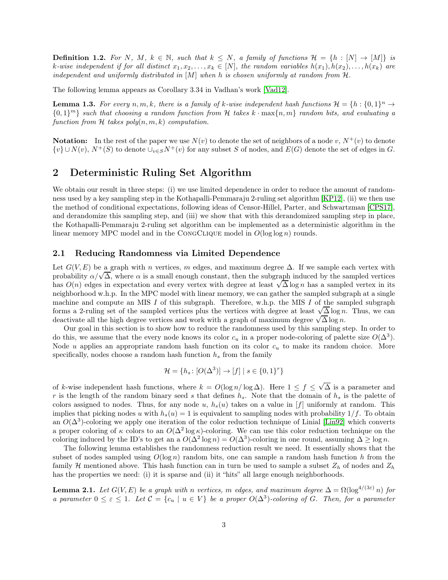**Definition 1.2.** For N, M,  $k \in \mathbb{N}$ , such that  $k \leq N$ , a family of functions  $\mathcal{H} = \{h : [N] \to [M]\}$  is k-wise independent if for all distinct  $x_1, x_2, \ldots, x_k \in [N]$ , the random variables  $h(x_1), h(x_2), \ldots, h(x_k)$  are *independent and uniformly distributed in* [M] *when* h *is chosen uniformly at random from* H*.*

The following lemma appears as Corollary 3.34 in Vadhan's work [\[Vad12\]](#page-6-10).

<span id="page-2-0"></span>**Lemma 1.3.** For every  $n, m, k$ , there is a family of k-wise independent hash functions  $\mathcal{H} = \{h : \{0, 1\}^n \to \mathbb{R}\}$  $\{0,1\}^m\}$  *such that choosing a random function from* H *takes*  $k \cdot \max\{n,m\}$  *random bits, and evaluating a function from*  $H$  *takes poly* $(n, m, k)$  *computation.* 

**Notation:** In the rest of the paper we use  $N(v)$  to denote the set of neighbors of a node v,  $N^+(v)$  to denote  $\{v\} \cup N(v)$ ,  $N^+(S)$  to denote  $\cup_{v \in S} N^+(v)$  for any subset S of nodes, and  $E(G)$  denote the set of edges in G.

## 2 Deterministic Ruling Set Algorithm

We obtain our result in three steps: (i) we use limited dependence in order to reduce the amount of randomness used by a key sampling step in the Kothapalli-Pemmaraju 2-ruling set algorithm [\[KP12\]](#page-6-3), (ii) we then use the method of conditional expectations, following ideas of Censor-Hillel, Parter, and Schwartzman [\[CPS17\]](#page-5-2), and derandomize this sampling step, and (iii) we show that with this derandomized sampling step in place, the Kothapalli-Pemmaraju 2-ruling set algorithm can be implemented as a deterministic algorithm in the linear memory MPC model and in the CONGCLIQUE model in  $O(\log \log n)$  rounds.

### 2.1 Reducing Randomness via Limited Dependence

Let  $G(V, E)$  be a graph with n vertices, m edges, and maximum degree  $\Delta$ . If we sample each vertex with probability  $\alpha/\sqrt{\Delta}$ , where  $\alpha$  is a small enough constant, then the subgraph induced by the sampled vertices has  $O(n)$  edges in expectation and every vertex with degree at least  $\sqrt{\Delta} \log n$  has a sampled vertex in its neighborhood w.h.p. In the MPC model with linear memory, we can gather the sampled subgraph at a single machine and compute an MIS I of this subgraph. Therefore, w.h.p. the MIS I of the sampled subgraph forms a 2-ruling set of the sampled vertices plus the vertices with degree at least  $\sqrt{\Delta} \log n$ . Thus, we can deactivate all the high degree vertices and work with a graph of maximum degree  $\sqrt{\Delta} \log n$ .

Our goal in this section is to show how to reduce the randomness used by this sampling step. In order to do this, we assume that the every node knows its color  $c_u$  in a proper node-coloring of palette size  $O(\Delta^3)$ . Node u applies an appropriate random hash function on its color  $c_u$  to make its random choice. More specifically, nodes choose a random hash function  $h_s$  from the family

$$
\mathcal{H} = \{ h_s \colon [O(\Delta^3)] \to [f] \mid s \in \{0, 1\}^r \}
$$

of k-wise independent hash functions, where  $k = O(\log n / \log \Delta)$ . Here  $1 \le f \le \sqrt{\Delta}$  is a parameter and r is the length of the random binary seed s that defines  $h_s$ . Note that the domain of  $h_s$  is the palette of colors assigned to nodes. Thus, for any node u,  $h_s(u)$  takes on a value in [f] uniformly at random. This implies that picking nodes u with  $h_s(u) = 1$  is equivalent to sampling nodes with probability  $1/f$ . To obtain an  $O(\Delta^3)$ -coloring we apply one iteration of the color reduction technique of Linial [\[Lin92\]](#page-6-11) which converts a proper coloring of  $\kappa$  colors to an  $O(\Delta^2 \log \kappa)$ -coloring. We can use this color reduction technique on the coloring induced by the ID's to get an a  $O(\Delta^2 \log n) = O(\Delta^3)$ -coloring in one round, assuming  $\Delta \ge \log n$ .

The following lemma establishes the randomness reduction result we need. It essentially shows that the subset of nodes sampled using  $O(\log n)$  random bits, one can sample a random hash function h from the family H mentioned above. This hash function can in turn be used to sample a subset  $Z_h$  of nodes and  $Z_h$ has the properties we need: (i) it is sparse and (ii) it "hits" all large enough neighborhoods.

<span id="page-2-1"></span>**Lemma 2.1.** *Let*  $G(V, E)$  *be a graph with* n *vertices,* m *edges, and maximum degree*  $\Delta = \Omega(\log^{4/(3\varepsilon)} n)$  *for a parameter*  $0 \leq \varepsilon \leq 1$ *. Let*  $C = \{c_u \mid u \in V\}$  *be a proper*  $O(\Delta^3)$ -coloring of G. Then, for a parameter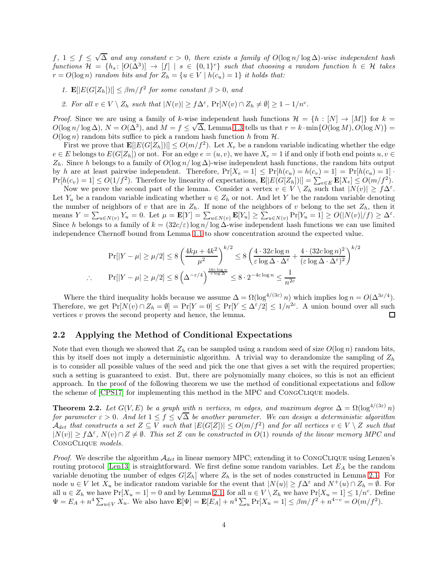$f, 1 ≤ f ≤ √\overline{\Delta}$  and any constant  $c > 0$ , there exists a family of  $O(log n / log \Delta)$ -wise independent hash  $functions \mathcal{H} = \{h_s: [O(\Delta^3)] \rightarrow [f] \mid s \in \{0,1\}^r\}$  *such that choosing a random function*  $h \in \mathcal{H}$  *takes*  $r = O(\log n)$  *random bits and for*  $Z_h = \{u \in V \mid h(c_u) = 1\}$  *it holds that:* 

- *1.*  $\mathbf{E}[|E(G[Z_h])|] \leq \beta m/f^2$  for some constant  $\beta > 0$ , and
- 2. For all  $v \in V \setminus Z_h$  such that  $|N(v)| \geq f\Delta^{\varepsilon}$ ,  $Pr[N(v) \cap Z_h \neq \emptyset] \geq 1 1/n^c$ .

*Proof.* Since we are using a family of k-wise independent hash functions  $\mathcal{H} = \{h : [N] \to [M]\}$  for  $k =$  $O(\log n/\log \Delta)$ ,  $N = O(\Delta^3)$ , and  $M = f \leq \sqrt{\Delta}$ , Lemma [1.3](#page-2-0) tells us that  $r = k \cdot \min\{O(\log M), O(\log N)\}$  $O(\log n)$  random bits suffice to pick a random hash function h from H.

First we prove that  $\mathbf{E}[|E(G[Z_h])|] \leq O(m/f^2)$ . Let  $X_e$  be a random variable indicating whether the edge  $e \in E$  belongs to  $E(G[Z_h])$  or not. For an edge  $e = (u, v)$ , we have  $X_e = 1$  if and only if both end points  $u, v \in E$  $Z_h$ . Since h belongs to a family of  $O(\log n/\log \Delta)$ -wise independent hash functions, the random bits output by h are at least pairwise independent. Therefore,  $Pr[X_e = 1] \leq Pr[h(c_u) = h(c_v) = 1] = Pr[h(c_u) = 1]$ .  $Pr[h(c_v) = 1] \leq O(1/f^2)$ . Therefore by linearity of expectations,  $\mathbf{E}[|E(G[Z_h])|] = \sum_{e \in E} \mathbf{E}[X_e] \leq O(m/f^2)$ .

Now we prove the second part of the lemma. Consider a vertex  $v \in V \setminus Z_h$  such that  $|N(v)| \geq f\Delta^{\varepsilon}$ . Let  $Y_u$  be a random variable indicating whether  $u \in Z_h$  or not. And let Y be the random variable denoting the number of neighbors of v that are in  $Z_h$ . If none of the neighbors of v belong to the set  $Z_h$ , then it means  $Y = \sum_{u \in N(v)} Y_u = 0$ . Let  $\mu = \mathbf{E}[Y] = \sum_{u \in N(v)} \mathbf{E}[Y_u] \ge \sum_{u \in N(v)} \Pr[Y_u = 1] \ge O(|N(v)|/f) \ge \Delta^{\varepsilon}$ . Since h belongs to a family of  $k = (32c/\varepsilon) \log n / \log \Delta$ -wise independent hash functions we can use limited independence Chernoff bound from Lemma [1.1](#page-1-0) to show concentration around the expected value.

$$
\Pr[|Y - \mu| \ge \mu/2] \le 8 \left(\frac{4k\mu + 4k^2}{\mu^2}\right)^{k/2} \le 8 \left(\frac{4 \cdot 32c \log n}{\varepsilon \log \Delta \cdot \Delta^{\varepsilon}} + \frac{4 \cdot (32c \log n)^2}{(\varepsilon \log \Delta \cdot \Delta^{\varepsilon})^2}\right)^{k/2}
$$
  
 
$$
\therefore \Pr[|Y - \mu| \ge \mu/2] \le 8 \left(\Delta^{-\varepsilon/4}\right)^{\frac{16c \log n}{\varepsilon \log \Delta}} \le 8 \cdot 2^{-4c \log n} \le \frac{1}{n^{2c}}
$$

Where the third inequality holds because we assume  $\Delta = \Omega(\log^{4/(3\varepsilon)} n)$  which implies  $\log n = O(\Delta^{3\varepsilon/4})$ . Therefore, we get  $Pr[N(v) \cap Z_h = \emptyset] = Pr[Y = 0] \le Pr[Y \le \Delta^{\varepsilon}/2] \le 1/n^{2c}$ . A union bound over all such vertices v proves the second property and hence, the lemma.  $\Box$ 

### 2.2 Applying the Method of Conditional Expectations

Note that even though we showed that  $Z_h$  can be sampled using a random seed of size  $O(\log n)$  random bits, this by itself does not imply a deterministic algorithm. A trivial way to derandomize the sampling of  $Z_h$ is to consider all possible values of the seed and pick the one that gives a set with the required properties; such a setting is guaranteed to exist. But, there are polynomially many choices, so this is not an efficient approach. In the proof of the following theorem we use the method of conditional expectations and follow the scheme of [\[CPS17\]](#page-5-2) for implementing this method in the MPC and CongClique models.

<span id="page-3-0"></span>**Theorem 2.2.** Let  $G(V, E)$  be a graph with n vertices, m edges, and maximum degree  $\Delta = \Omega(\log^{4/(3\varepsilon)} n)$ *for parameter*  $\varepsilon > 0$ . And let  $1 \le f \le \sqrt{\Delta}$  be another parameter. We can design a deterministic algorithm  $\mathcal{A}_{det}$  that constructs a set  $Z \subseteq V$  such that  $|E(G[Z])| \leq O(m/f^2)$  and for all vertices  $v \in V \setminus Z$  such that  $|N(v)| \ge f\Delta^{\varepsilon}$ ,  $N(v) \cap Z \ne \emptyset$ . This set Z can be constructed in  $O(1)$  rounds of the linear memory MPC and CongClique *models.*

*Proof.* We describe the algorithm  $A_{det}$  in linear memory MPC; extending it to CONGCLIQUE using Lenzen's routing protocol [\[Len13\]](#page-6-12) is straightforward. We first define some random variables. Let  $E_A$  be the random variable denoting the number of edges  $G[Z_h]$  where  $Z_h$  is the set of nodes constructed in Lemma [2.1.](#page-2-1) For node  $u \in V$  let  $X_u$  be indicator random variable for the event that  $|N(u)| \ge f\Delta^{\varepsilon}$  and  $N^+(u) \cap Z_h = \emptyset$ . For all  $u \in Z_h$  we have  $Pr[X_u = 1] = 0$  and by Lemma [2.1,](#page-2-1) for all  $u \in V \setminus Z_h$  we have  $Pr[X_u = 1] \leq 1/n^c$ . Define  $\Psi = E_A + n^4 \sum_{u \in V} X_u$ . We also have  $\mathbf{E}[\Psi] = \mathbf{E}[E_A] + n^4 \sum_u \Pr[X_u = 1] \le \beta m / f^2 + n^{4-c} = O(m / f^2)$ .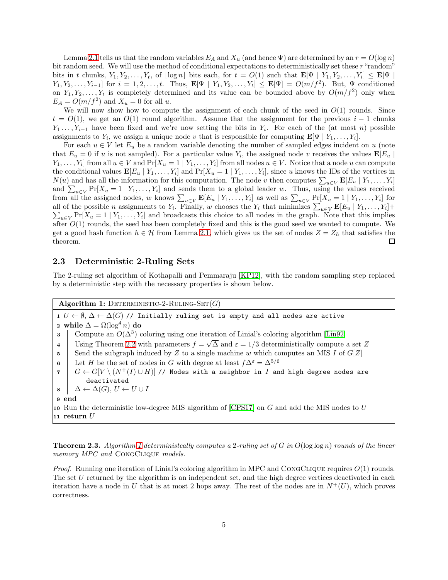Lemma [2.1](#page-2-1) tells us that the random variables  $E_A$  and  $X_u$  (and hence  $\Psi$ ) are determined by an  $r = O(\log n)$ bit random seed. We will use the method of conditional expectations to deterministically set these r "random" bits in t chunks,  $Y_1, Y_2, \ldots, Y_t$ , of  $\lfloor \log n \rfloor$  bits each, for  $t = O(1)$  such that  $\mathbf{E}[\Psi \mid Y_1, Y_2, \ldots, Y_i] \leq \mathbf{E}[\Psi \mid Y_1, Y_2, \ldots, Y_i]$  $Y_1, Y_2, \ldots, Y_{i-1}$  for  $i = 1, 2, \ldots, t$ . Thus,  $\mathbf{E}[\Psi \mid Y_1, Y_2, \ldots, Y_t] \leq \mathbf{E}[\Psi] = O(m/f^2)$ . But,  $\Psi$  conditioned on  $Y_1, Y_2, \ldots, Y_t$  is completely determined and its value can be bounded above by  $O(m/f^2)$  only when  $E_A = O(m/f^2)$  and  $X_u = 0$  for all u.

We will now show how to compute the assignment of each chunk of the seed in  $O(1)$  rounds. Since  $t = O(1)$ , we get an  $O(1)$  round algorithm. Assume that the assignment for the previous  $i - 1$  chunks  $Y_1 \ldots, Y_{i-1}$  have been fixed and we're now setting the bits in  $Y_i$ . For each of the (at most n) possible assignments to  $Y_i$ , we assign a unique node v that is responsible for computing  $\mathbf{E}[\Psi \mid Y_1, \ldots, Y_i].$ 

For each  $u \in V$  let  $E_u$  be a random variable denoting the number of sampled edges incident on u (note that  $E_u = 0$  if u is not sampled). For a particular value  $Y_i$ , the assigned node v receives the values  $\mathbf{E}[E_u]$  $Y_1, \ldots, Y_i$  from all  $u \in V$  and  $\Pr[X_u = 1 | Y_1, \ldots, Y_i]$  from all nodes  $u \in V$ . Notice that a node u can compute the conditional values  $\mathbf{E}[E_u | Y_1, \ldots, Y_i]$  and  $\Pr[X_u = 1 | Y_1, \ldots, Y_i]$ , since u knows the IDs of the vertices in  $N(u)$  and has all the information for this computation. The node v then computes  $\sum_{u\in V} \mathbf{E}[E_u | Y_1, \dots, Y_i]$ and  $\sum_{u\in V} \Pr[X_u = 1 | Y_1, \ldots, Y_i]$  and sends them to a global leader w. Thus, using the values received from all the assigned nodes, w knows  $\sum_{u \in V} \mathbf{E}[E_u | Y_1, \dots, Y_i]$  as well as  $\sum_{u \in V} \Pr[X_u = 1 | Y_1, \dots, Y_i]$  for all of the possible *n* assignments to  $Y_i$ . Finally, w chooses the  $Y_i$  that minimizes  $\sum_{u\in V} \mathbf{E}[E_u | Y_1, \ldots, Y_i] +$  $\sum_{u \in V} \Pr[X_u = 1 | Y_1, \dots, Y_i]$  and broadcasts this choice to all nodes in the graph. Note that this implies after  $O(1)$  rounds, the seed has been completely fixed and this is the good seed we wanted to compute. We get a good hash function  $h \in \mathcal{H}$  from Lemma [2.1,](#page-2-1) which gives us the set of nodes  $Z = Z_h$  that satisfies the theorem. theorem.

### 2.3 Deterministic 2-Ruling Sets

The 2-ruling set algorithm of Kothapalli and Pemmaraju [\[KP12\]](#page-6-3), with the random sampling step replaced by a deterministic step with the necessary properties is shown below.

<span id="page-4-0"></span>Algorithm 1: DETERMINISTIC-2-RULING-SET $(G)$ 

1  $U \leftarrow \emptyset$ ,  $\Delta \leftarrow \Delta(G)$  // Initially ruling set is empty and all nodes are active  ${\bf 2}\ \ \textbf{while} \ \Delta = \Omega(\log^4 n) \ \textbf{do}$ **3** Compute an  $O(\Delta^3)$  coloring using one iteration of Linial's coloring algorithm [\[Lin92\]](#page-6-11) 4 Using Theorem [2.2](#page-3-0) with parameters  $f = \sqrt{\Delta}$  and  $\varepsilon = 1/3$  deterministically compute a set Z 5 Send the subgraph induced by Z to a single machine w which computes an MIS I of  $G[Z]$ 6 Let H be the set of nodes in G with degree at least  $f\Delta^{\varepsilon} = \Delta^{5/6}$  $7 \mid G \leftarrow G[V \setminus (N^+(I) \cup H)]$  // Nodes with a neighbor in I and high degree nodes are deactivated  $\mathbf{8} \quad \Delta \leftarrow \Delta(G), U \leftarrow U \cup I$ 9 end 10 Run the deterministic low-degree MIS algorithm of  $[CPS17]$  on G and add the MIS nodes to U  $\scriptstyle\rm 11 \hspace{0.5mm}$ return  $U$ 

Theorem 2.3. *Algorithm [1](#page-4-0) deterministcally computes a* 2*-ruling set of* G *in* O(log log n) *rounds of the linear memory MPC and* CongClique *models.*

*Proof.* Running one iteration of Linial's coloring algorithm in MPC and CONGCLIQUE requires  $O(1)$  rounds. The set U returned by the algorithm is an independent set, and the high degree vertices deactivated in each iteration have a node in U that is at most 2 hops away. The rest of the nodes are in  $N^+(U)$ , which proves correctness.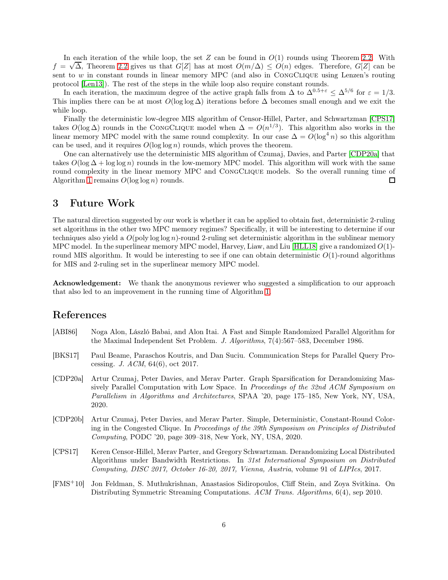In each iteration of the while loop, the set Z can be found in  $O(1)$  rounds using Theorem [2.2.](#page-3-0) With  $f = \sqrt{\Delta}$ , Theorem [2.2](#page-3-0) gives us that  $G[Z]$  has at most  $O(m/\Delta) \leq O(n)$  edges. Therefore,  $G[Z]$  can be sent to w in constant rounds in linear memory MPC (and also in CongClique using Lenzen's routing protocol [\[Len13\]](#page-6-12)). The rest of the steps in the while loop also require constant rounds.

In each iteration, the maximum degree of the active graph falls from  $\Delta$  to  $\Delta^{0.5+\varepsilon} \leq \Delta^{5/6}$  for  $\varepsilon = 1/3$ . This implies there can be at most  $O(\log \log \Delta)$  iterations before  $\Delta$  becomes small enough and we exit the while loop.

Finally the deterministic low-degree MIS algorithm of Censor-Hillel, Parter, and Schwartzman [\[CPS17\]](#page-5-2) takes  $O(\log \Delta)$  rounds in the CONGCLIQUE model when  $\Delta = O(n^{1/3})$ . This algorithm also works in the linear memory MPC model with the same round complexity. In our case  $\Delta = O(\log^4 n)$  so this algorithm can be used, and it requires  $O(\log \log n)$  rounds, which proves the theorem.

One can alternatively use the deterministic MIS algorithm of Czumaj, Davies, and Parter [\[CDP20a\]](#page-5-0) that takes  $O(\log \Delta + \log \log n)$  rounds in the low-memory MPC model. This algorithm will work with the same round complexity in the linear memory MPC and CongClique models. So the overall running time of Algorithm [1](#page-4-0) remains  $O(\log \log n)$  rounds. □

### 3 Future Work

The natural direction suggested by our work is whether it can be applied to obtain fast, deterministic 2-ruling set algorithms in the other two MPC memory regimes? Specifically, it will be interesting to determine if our techniques also yield a  $O(poly log log n)$ -round 2-ruling set deterministic algorithm in the sublinear memory MPC model. In the superlinear memory MPC model, Harvey, Liaw, and Liu [\[HLL18\]](#page-6-13) give a randomized  $O(1)$ round MIS algorithm. It would be interesting to see if one can obtain deterministic  $O(1)$ -round algorithms for MIS and 2-ruling set in the superlinear memory MPC model.

Acknowledgement: We thank the anonymous reviewer who suggested a simplification to our approach that also led to an improvement in the running time of Algorithm [1.](#page-4-0)

### References

- <span id="page-5-1"></span>[ABI86] Noga Alon, László Babai, and Alon Itai. A Fast and Simple Randomized Parallel Algorithm for the Maximal Independent Set Problem. *J. Algorithms*, 7(4):567–583, December 1986.
- <span id="page-5-4"></span>[BKS17] Paul Beame, Paraschos Koutris, and Dan Suciu. Communication Steps for Parallel Query Processing. *J. ACM*, 64(6), oct 2017.
- <span id="page-5-0"></span>[CDP20a] Artur Czumaj, Peter Davies, and Merav Parter. Graph Sparsification for Derandomizing Massively Parallel Computation with Low Space. In *Proceedings of the 32nd ACM Symposium on Parallelism in Algorithms and Architectures*, SPAA '20, page 175–185, New York, NY, USA, 2020.
- <span id="page-5-5"></span>[CDP20b] Artur Czumaj, Peter Davies, and Merav Parter. Simple, Deterministic, Constant-Round Coloring in the Congested Clique. In *Proceedings of the 39th Symposium on Principles of Distributed Computing*, PODC '20, page 309–318, New York, NY, USA, 2020.
- <span id="page-5-2"></span>[CPS17] Keren Censor-Hillel, Merav Parter, and Gregory Schwartzman. Derandomizing Local Distributed Algorithms under Bandwidth Restrictions. In *31st International Symposium on Distributed Computing, DISC 2017, October 16-20, 2017, Vienna, Austria*, volume 91 of *LIPIcs*, 2017.
- <span id="page-5-3"></span>[FMS<sup>+</sup>10] Jon Feldman, S. Muthukrishnan, Anastasios Sidiropoulos, Cliff Stein, and Zoya Svitkina. On Distributing Symmetric Streaming Computations. *ACM Trans. Algorithms*, 6(4), sep 2010.